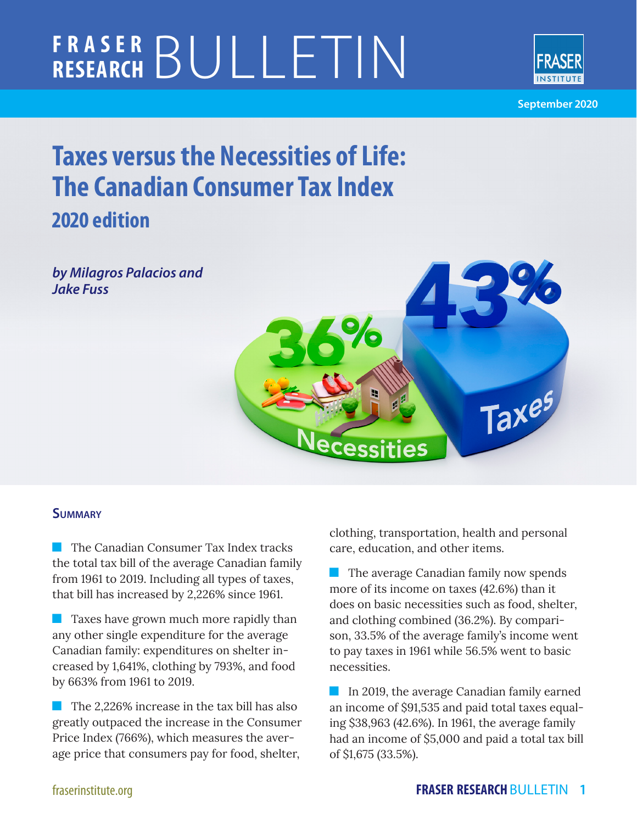# **FRASER RESEARCH** BULLETIN



**September 2020**

## **Taxes versus the Necessities of Life: The Canadian Consumer Tax Index 2020 edition**

*by Milagros Palacios and Jake Fuss*



#### **Summary**

**The Canadian Consumer Tax Index tracks** the total tax bill of the average Canadian family from 1961 to 2019. Including all types of taxes, that bill has increased by 2,226% since 1961.

**Taxes have grown much more rapidly than** any other single expenditure for the average Canadian family: expenditures on shelter increased by 1,641%, clothing by 793%, and food by 663% from 1961 to 2019.

 $\blacksquare$  The 2,226% increase in the tax bill has also greatly outpaced the increase in the Consumer Price Index (766%), which measures the average price that consumers pay for food, shelter,

clothing, transportation, health and personal care, education, and other items.

 $\blacksquare$  The average Canadian family now spends more of its income on taxes (42.6%) than it does on basic necessities such as food, shelter, and clothing combined (36.2%). By comparison, 33.5% of the average family's income went to pay taxes in 1961 while 56.5% went to basic necessities.

In 2019, the average Canadian family earned an income of \$91,535 and paid total taxes equaling \$38,963 (42.6%). In 1961, the average family had an income of \$5,000 and paid a total tax bill of \$1,675 (33.5%).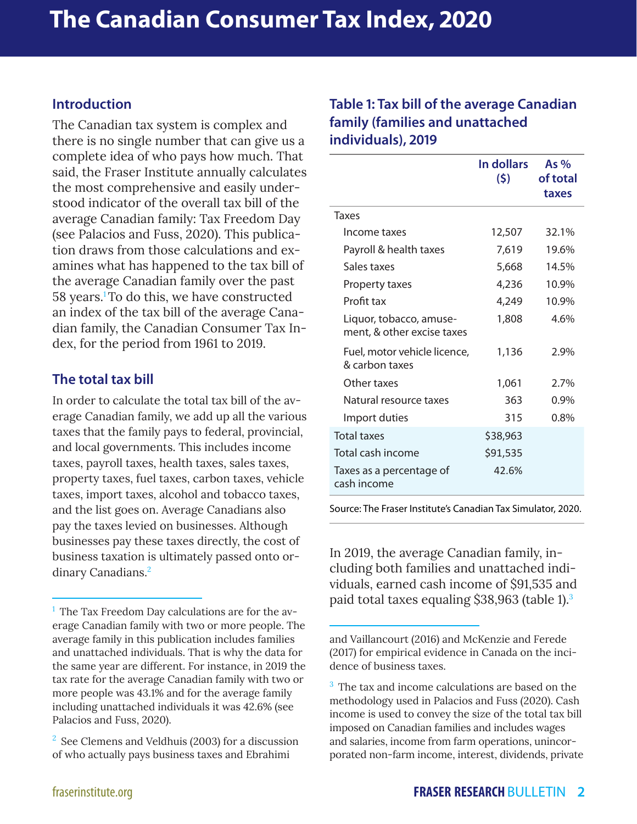#### **Introduction**

The Canadian tax system is complex and there is no single number that can give us a complete idea of who pays how much. That said, the Fraser Institute annually calculates the most comprehensive and easily understood indicator of the overall tax bill of the average Canadian family: Tax Freedom Day (see Palacios and Fuss, 2020). This publication draws from those calculations and examines what has happened to the tax bill of the average Canadian family over the past 58 years.1To do this, we have constructed an index of the tax bill of the average Canadian family, the Canadian Consumer Tax Index, for the period from 1961 to 2019.

#### **The total tax bill**

In order to calculate the total tax bill of the average Canadian family, we add up all the various taxes that the family pays to federal, provincial, and local governments. This includes income taxes, payroll taxes, health taxes, sales taxes, property taxes, fuel taxes, carbon taxes, vehicle taxes, import taxes, alcohol and tobacco taxes, and the list goes on. Average Canadians also pay the taxes levied on businesses. Although businesses pay these taxes directly, the cost of business taxation is ultimately passed onto ordinary Canadians.<sup>2</sup>

#### **Table 1: Tax bill of the average Canadian family (families and unattached individuals), 2019**

|                                                       | In dollars<br>(5) | As $%$<br>of total<br>taxes |
|-------------------------------------------------------|-------------------|-----------------------------|
| Taxes                                                 |                   |                             |
| Income taxes                                          | 12,507            | 32.1%                       |
| Payroll & health taxes                                | 7,619             | 19.6%                       |
| Sales taxes                                           | 5,668             | 14.5%                       |
| Property taxes                                        | 4,236             | 10.9%                       |
| Profit tax                                            | 4,249             | 10.9%                       |
| Liquor, tobacco, amuse-<br>ment, & other excise taxes | 1,808             | 4.6%                        |
| Fuel, motor vehicle licence,<br>& carbon taxes        | 1,136             | 2.9%                        |
| Other taxes                                           | 1,061             | 2.7%                        |
| Natural resource taxes                                | 363               | 0.9%                        |
| Import duties                                         | 315               | 0.8%                        |
| <b>Total taxes</b>                                    | \$38,963          |                             |
| Total cash income                                     | \$91,535          |                             |
| Taxes as a percentage of<br>cash income               | 42.6%             |                             |

Source: The Fraser Institute's Canadian Tax Simulator, 2020.

In 2019, the average Canadian family, including both families and unattached individuals, earned cash income of \$91,535 and paid total taxes equaling \$38,963 (table 1).3

 $<sup>1</sup>$  The Tax Freedom Day calculations are for the av-</sup> erage Canadian family with two or more people. The average family in this publication includes families and unattached individuals. That is why the data for the same year are different. For instance, in 2019 the tax rate for the average Canadian family with two or more people was 43.1% and for the average family including unattached individuals it was 42.6% (see Palacios and Fuss, 2020).

 $2^2$  See Clemens and Veldhuis (2003) for a discussion of who actually pays business taxes and Ebrahimi

and Vaillancourt (2016) and McKenzie and Ferede (2017) for empirical evidence in Canada on the incidence of business taxes.

<sup>&</sup>lt;sup>3</sup> The tax and income calculations are based on the methodology used in Palacios and Fuss (2020). Cash income is used to convey the size of the total tax bill imposed on Canadian families and includes wages and salaries, income from farm operations, unincorporated non-farm income, interest, dividends, private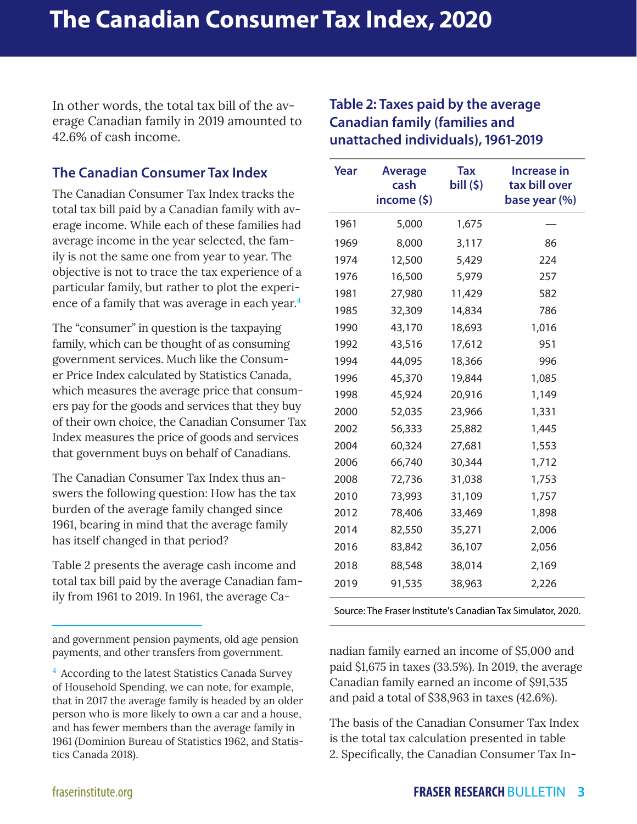In other words, the total tax bill of the average Canadian family in 2019 amounted to 42.6% of cash income.

#### **The Canadian Consumer Tax Index**

The Canadian Consumer Tax Index tracks the total tax bill paid by a Canadian family with average income. While each of these families had average income in the year selected, the family is not the same one from year to year. The objective is not to trace the tax experience of a particular family, but rather to plot the experience of a family that was average in each year.<sup>4</sup>

The "consumer" in question is the taxpaying family, which can be thought of as consuming government services. Much like the Consumer Price Index calculated by Statistics Canada, which measures the average price that consumers pay for the goods and services that they buy of their own choice, the Canadian Consumer Tax Index measures the price of goods and services that government buys on behalf of Canadians.

The Canadian Consumer Tax Index thus answers the following question: How has the tax burden of the average family changed since 1961, bearing in mind that the average family has itself changed in that period?

Table 2 presents the average cash income and total tax bill paid by the average Canadian family from 1961 to 2019. In 1961, the average Ca-

and government pension payments, old age pension payments, and other transfers from government.

#### **Table 2: Taxes paid by the average Canadian family (families and unattached individuals), 1961-2019**

| Year | <b>Average</b><br>cash<br>income (\$) | <b>Tax</b><br>bill (\$) | <b>Increase in</b><br>tax bill over<br>base year (%) |
|------|---------------------------------------|-------------------------|------------------------------------------------------|
| 1961 | 5,000                                 | 1,675                   |                                                      |
| 1969 | 8,000                                 | 3,117                   | 86                                                   |
| 1974 | 12,500                                | 5,429                   | 224                                                  |
| 1976 | 16,500                                | 5,979                   | 257                                                  |
| 1981 | 27,980                                | 11,429                  | 582                                                  |
| 1985 | 32,309                                | 14,834                  | 786                                                  |
| 1990 | 43,170                                | 18,693                  | 1,016                                                |
| 1992 | 43,516                                | 17,612                  | 951                                                  |
| 1994 | 44,095                                | 18,366                  | 996                                                  |
| 1996 | 45,370                                | 19,844                  | 1,085                                                |
| 1998 | 45,924                                | 20,916                  | 1,149                                                |
| 2000 | 52,035                                | 23,966                  | 1,331                                                |
| 2002 | 56,333                                | 25,882                  | 1,445                                                |
| 2004 | 60,324                                | 27,681                  | 1,553                                                |
| 2006 | 66,740                                | 30,344                  | 1,712                                                |
| 2008 | 72,736                                | 31,038                  | 1,753                                                |
| 2010 | 73,993                                | 31,109                  | 1,757                                                |
| 2012 | 78,406                                | 33,469                  | 1,898                                                |
| 2014 | 82,550                                | 35,271                  | 2,006                                                |
| 2016 | 83,842                                | 36,107                  | 2,056                                                |
| 2018 | 88,548                                | 38,014                  | 2,169                                                |
| 2019 | 91,535                                | 38,963                  | 2,226                                                |

Source: The Fraser Institute's Canadian Tax Simulator, 2020.

nadian family earned an income of \$5,000 and paid \$1,675 in taxes (33.5%). In 2019, the average Canadian family earned an income of \$91,535 and paid a total of \$38,963 in taxes (42.6%).

The basis of the Canadian Consumer Tax Index is the total tax calculation presented in table 2. Specifically, the Canadian Consumer Tax In-

<sup>&</sup>lt;sup>4</sup> According to the latest Statistics Canada Survey of Household Spending, we can note, for example, that in 2017 the average family is headed by an older person who is more likely to own a car and a house, and has fewer members than the average family in 1961 (Dominion Bureau of Statistics 1962, and Statistics Canada 2018).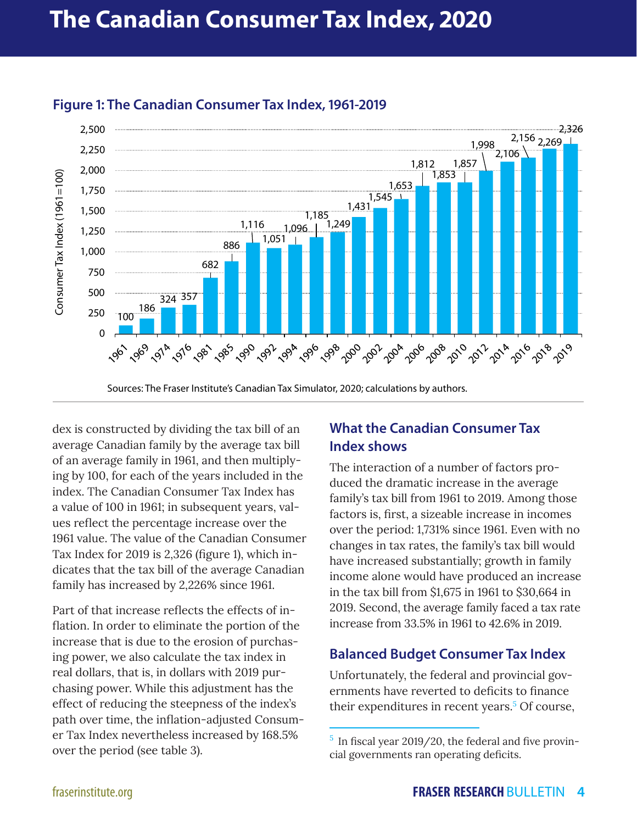

#### **Figure 1: The Canadian Consumer Tax Index, 1961-2019**

dex is constructed by dividing the tax bill of an average Canadian family by the average tax bill of an average family in 1961, and then multiplying by 100, for each of the years included in the index. The Canadian Consumer Tax Index has

a value of 100 in 1961; in subsequent years, values reflect the percentage increase over the 1961 value. The value of the Canadian Consumer Tax Index for 2019 is 2,326 (figure 1), which indicates that the tax bill of the average Canadian family has increased by 2,226% since 1961.

Part of that increase reflects the effects of inflation. In order to eliminate the portion of the increase that is due to the erosion of purchasing power, we also calculate the tax index in real dollars, that is, in dollars with 2019 purchasing power. While this adjustment has the effect of reducing the steepness of the index's path over time, the inflation-adjusted Consumer Tax Index nevertheless increased by 168.5% over the period (see table 3).

### **What the Canadian Consumer Tax Index shows**

The interaction of a number of factors produced the dramatic increase in the average family's tax bill from 1961 to 2019. Among those factors is, first, a sizeable increase in incomes over the period: 1,731% since 1961. Even with no changes in tax rates, the family's tax bill would have increased substantially; growth in family income alone would have produced an increase in the tax bill from \$1,675 in 1961 to \$30,664 in 2019. Second, the average family faced a tax rate increase from 33.5% in 1961 to 42.6% in 2019.

### **Balanced Budget Consumer Tax Index**

Unfortunately, the federal and provincial governments have reverted to deficits to finance their expenditures in recent years.<sup>5</sup> Of course,

 $5$  In fiscal year 2019/20, the federal and five provincial governments ran operating deficits.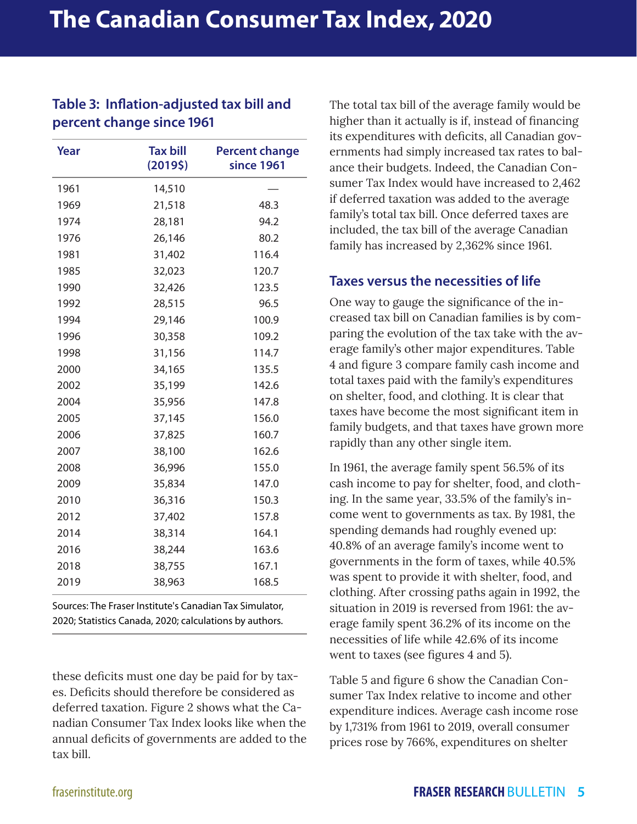#### **Table 3: Inflation-adjusted tax bill and percent change since 1961**

| Year | <b>Tax bill</b><br>(20195) | <b>Percent change</b><br>since 1961 |  |
|------|----------------------------|-------------------------------------|--|
| 1961 | 14,510                     |                                     |  |
| 1969 | 21,518                     | 48.3                                |  |
| 1974 | 28,181                     | 94.2                                |  |
| 1976 | 26,146                     | 80.2                                |  |
| 1981 | 31,402                     | 116.4                               |  |
| 1985 | 32,023                     | 120.7                               |  |
| 1990 | 32,426                     | 123.5                               |  |
| 1992 | 28,515                     | 96.5                                |  |
| 1994 | 29,146                     | 100.9                               |  |
| 1996 | 30,358                     | 109.2                               |  |
| 1998 | 31,156                     | 114.7                               |  |
| 2000 | 34,165                     | 135.5                               |  |
| 2002 | 35,199                     | 142.6                               |  |
| 2004 | 35,956                     | 147.8                               |  |
| 2005 | 37,145                     | 156.0                               |  |
| 2006 | 37,825                     | 160.7                               |  |
| 2007 | 38,100                     | 162.6                               |  |
| 2008 | 36,996                     | 155.0                               |  |
| 2009 | 35,834                     | 147.0                               |  |
| 2010 | 36,316                     | 150.3                               |  |
| 2012 | 37,402                     | 157.8                               |  |
| 2014 | 38,314                     | 164.1                               |  |
| 2016 | 38,244                     | 163.6                               |  |
| 2018 | 38,755                     | 167.1                               |  |
| 2019 | 38,963                     | 168.5                               |  |

Sources: The Fraser Institute's Canadian Tax Simulator, 2020; Statistics Canada, 2020; calculations by authors.

these deficits must one day be paid for by taxes. Deficits should therefore be considered as deferred taxation. Figure 2 shows what the Canadian Consumer Tax Index looks like when the annual deficits of governments are added to the tax bill.

The total tax bill of the average family would be higher than it actually is if, instead of financing its expenditures with deficits, all Canadian governments had simply increased tax rates to balance their budgets. Indeed, the Canadian Consumer Tax Index would have increased to 2,462 if deferred taxation was added to the average family's total tax bill. Once deferred taxes are included, the tax bill of the average Canadian family has increased by 2,362% since 1961.

#### **Taxes versus the necessities of life**

One way to gauge the significance of the increased tax bill on Canadian families is by comparing the evolution of the tax take with the average family's other major expenditures. Table 4 and figure 3 compare family cash income and total taxes paid with the family's expenditures on shelter, food, and clothing. It is clear that taxes have become the most significant item in family budgets, and that taxes have grown more rapidly than any other single item.

In 1961, the average family spent 56.5% of its cash income to pay for shelter, food, and clothing. In the same year, 33.5% of the family's income went to governments as tax. By 1981, the spending demands had roughly evened up: 40.8% of an average family's income went to governments in the form of taxes, while 40.5% was spent to provide it with shelter, food, and clothing. After crossing paths again in 1992, the situation in 2019 is reversed from 1961: the average family spent 36.2% of its income on the necessities of life while 42.6% of its income went to taxes (see figures 4 and 5).

Table 5 and figure 6 show the Canadian Consumer Tax Index relative to income and other expenditure indices. Average cash income rose by 1,731% from 1961 to 2019, overall consumer prices rose by 766%, expenditures on shelter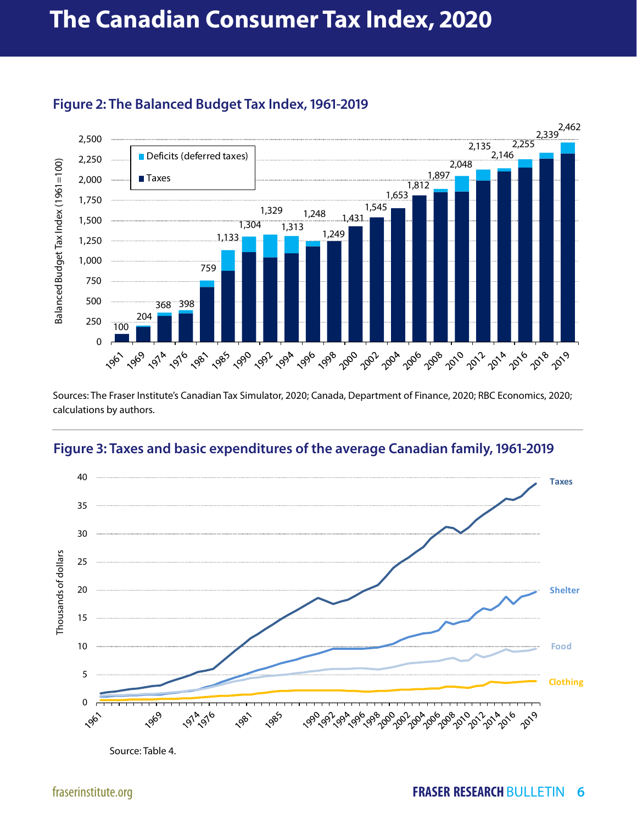

#### **Figure 2: The Balanced Budget Tax Index, 1961-2019**

Sources: The Fraser Institute's Canadian Tax Simulator, 2020; Canada, Department of Finance, 2020; RBC Economics, 2020; calculations by authors.

#### **Figure 3: Taxes and basic expenditures of the average Canadian family, 1961-2019**



Source: Table 4.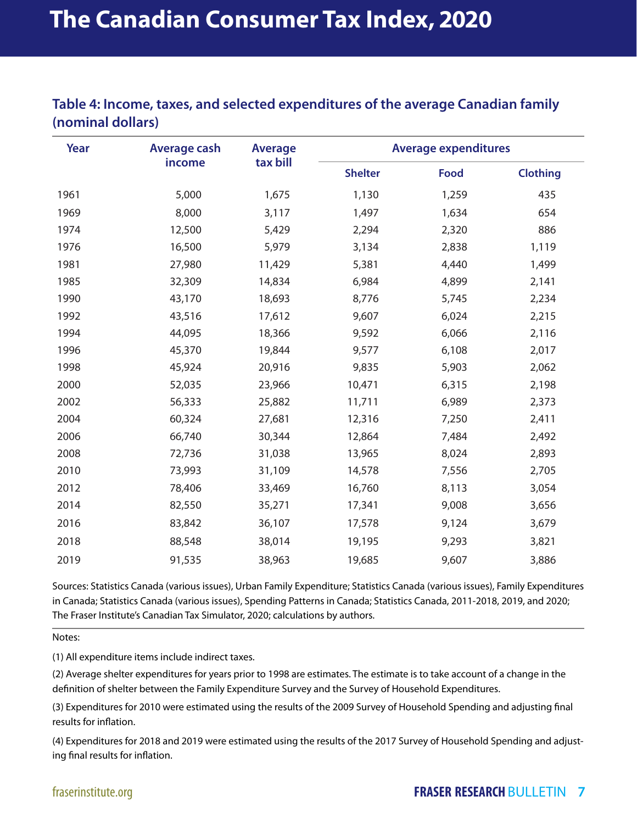#### **Table 4: Income, taxes, and selected expenditures of the average Canadian family (nominal dollars)**

| Year | <b>Average cash</b> | <b>Average</b><br>tax bill | <b>Average expenditures</b> |       |                 |  |
|------|---------------------|----------------------------|-----------------------------|-------|-----------------|--|
|      | income              |                            | <b>Shelter</b>              | Food  | <b>Clothing</b> |  |
| 1961 | 5,000               | 1,675                      | 1,130                       | 1,259 | 435             |  |
| 1969 | 8,000               | 3,117                      | 1,497                       | 1,634 | 654             |  |
| 1974 | 12,500              | 5,429                      | 2,294                       | 2,320 | 886             |  |
| 1976 | 16,500              | 5,979                      | 3,134                       | 2,838 | 1,119           |  |
| 1981 | 27,980              | 11,429                     | 5,381                       | 4,440 | 1,499           |  |
| 1985 | 32,309              | 14,834                     | 6,984                       | 4,899 | 2,141           |  |
| 1990 | 43,170              | 18,693                     | 8,776                       | 5,745 | 2,234           |  |
| 1992 | 43,516              | 17,612                     | 9,607                       | 6,024 | 2,215           |  |
| 1994 | 44,095              | 18,366                     | 9,592                       | 6,066 | 2,116           |  |
| 1996 | 45,370              | 19,844                     | 9,577                       | 6,108 | 2,017           |  |
| 1998 | 45,924              | 20,916                     | 9,835                       | 5,903 | 2,062           |  |
| 2000 | 52,035              | 23,966                     | 10,471                      | 6,315 | 2,198           |  |
| 2002 | 56,333              | 25,882                     | 11,711                      | 6,989 | 2,373           |  |
| 2004 | 60,324              | 27,681                     | 12,316                      | 7,250 | 2,411           |  |
| 2006 | 66,740              | 30,344                     | 12,864                      | 7,484 | 2,492           |  |
| 2008 | 72,736              | 31,038                     | 13,965                      | 8,024 | 2,893           |  |
| 2010 | 73,993              | 31,109                     | 14,578                      | 7,556 | 2,705           |  |
| 2012 | 78,406              | 33,469                     | 16,760                      | 8,113 | 3,054           |  |
| 2014 | 82,550              | 35,271                     | 17,341                      | 9,008 | 3,656           |  |
| 2016 | 83,842              | 36,107                     | 17,578                      | 9,124 | 3,679           |  |
| 2018 | 88,548              | 38,014                     | 19,195                      | 9,293 | 3,821           |  |
| 2019 | 91,535              | 38,963                     | 19,685                      | 9,607 | 3,886           |  |

Sources: Statistics Canada (various issues), Urban Family Expenditure; Statistics Canada (various issues), Family Expenditures in Canada; Statistics Canada (various issues), Spending Patterns in Canada; Statistics Canada, 2011-2018, 2019, and 2020; The Fraser Institute's Canadian Tax Simulator, 2020; calculations by authors.

Notes:

(1) All expenditure items include indirect taxes.

(2) Average shelter expenditures for years prior to 1998 are estimates. The estimate is to take account of a change in the definition of shelter between the Family Expenditure Survey and the Survey of Household Expenditures.

(3) Expenditures for 2010 were estimated using the results of the 2009 Survey of Household Spending and adjusting final results for inflation.

(4) Expenditures for 2018 and 2019 were estimated using the results of the 2017 Survey of Household Spending and adjusting final results for inflation.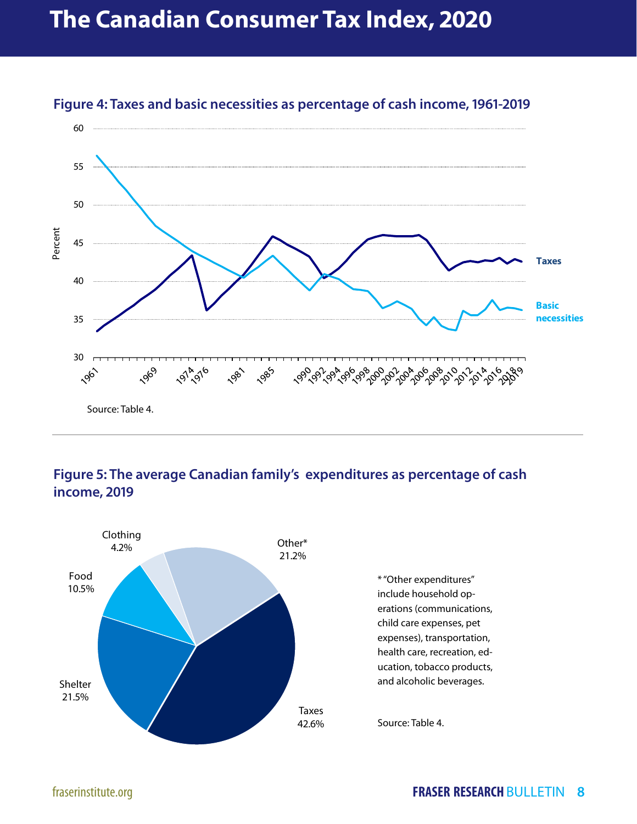## **The Canadian Consumer Tax Index, 2020**



#### **Figure 4: Taxes and basic necessities as percentage of cash income, 1961-2019**

#### **Figure 5: The average Canadian family's expenditures as percentage of cash income, 2019**

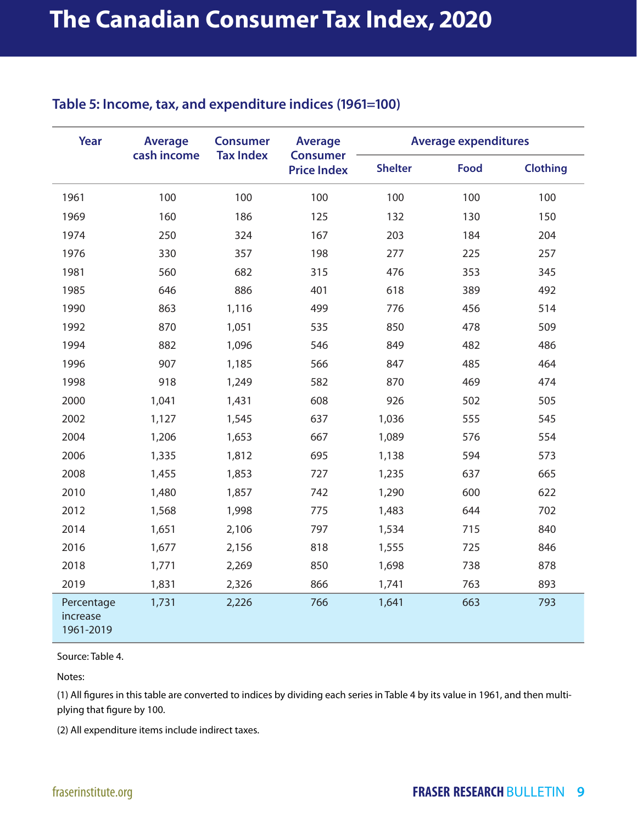#### **Table 5: Income, tax, and expenditure indices (1961=100)**

| Year                                | <b>Average</b><br>cash income | <b>Consumer</b><br><b>Tax Index</b> | <b>Average</b><br><b>Consumer</b><br><b>Price Index</b> | <b>Average expenditures</b> |             |                 |
|-------------------------------------|-------------------------------|-------------------------------------|---------------------------------------------------------|-----------------------------|-------------|-----------------|
|                                     |                               |                                     |                                                         | <b>Shelter</b>              | <b>Food</b> | <b>Clothing</b> |
| 1961                                | 100                           | 100                                 | 100                                                     | 100                         | 100         | 100             |
| 1969                                | 160                           | 186                                 | 125                                                     | 132                         | 130         | 150             |
| 1974                                | 250                           | 324                                 | 167                                                     | 203                         | 184         | 204             |
| 1976                                | 330                           | 357                                 | 198                                                     | 277                         | 225         | 257             |
| 1981                                | 560                           | 682                                 | 315                                                     | 476                         | 353         | 345             |
| 1985                                | 646                           | 886                                 | 401                                                     | 618                         | 389         | 492             |
| 1990                                | 863                           | 1,116                               | 499                                                     | 776                         | 456         | 514             |
| 1992                                | 870                           | 1,051                               | 535                                                     | 850                         | 478         | 509             |
| 1994                                | 882                           | 1,096                               | 546                                                     | 849                         | 482         | 486             |
| 1996                                | 907                           | 1,185                               | 566                                                     | 847                         | 485         | 464             |
| 1998                                | 918                           | 1,249                               | 582                                                     | 870                         | 469         | 474             |
| 2000                                | 1,041                         | 1,431                               | 608                                                     | 926                         | 502         | 505             |
| 2002                                | 1,127                         | 1,545                               | 637                                                     | 1,036                       | 555         | 545             |
| 2004                                | 1,206                         | 1,653                               | 667                                                     | 1,089                       | 576         | 554             |
| 2006                                | 1,335                         | 1,812                               | 695                                                     | 1,138                       | 594         | 573             |
| 2008                                | 1,455                         | 1,853                               | 727                                                     | 1,235                       | 637         | 665             |
| 2010                                | 1,480                         | 1,857                               | 742                                                     | 1,290                       | 600         | 622             |
| 2012                                | 1,568                         | 1,998                               | 775                                                     | 1,483                       | 644         | 702             |
| 2014                                | 1,651                         | 2,106                               | 797                                                     | 1,534                       | 715         | 840             |
| 2016                                | 1,677                         | 2,156                               | 818                                                     | 1,555                       | 725         | 846             |
| 2018                                | 1,771                         | 2,269                               | 850                                                     | 1,698                       | 738         | 878             |
| 2019                                | 1,831                         | 2,326                               | 866                                                     | 1,741                       | 763         | 893             |
| Percentage<br>increase<br>1961-2019 | 1,731                         | 2,226                               | 766                                                     | 1,641                       | 663         | 793             |

Source: Table 4.

Notes:

(1) All figures in this table are converted to indices by dividing each series in Table 4 by its value in 1961, and then multiplying that figure by 100.

(2) All expenditure items include indirect taxes.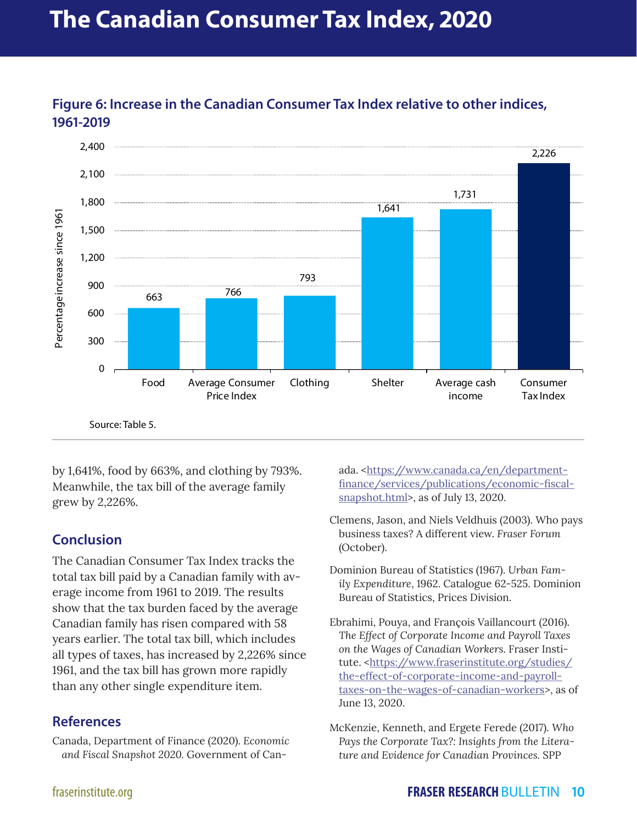## **The Canadian Consumer Tax Index, 2020**



**Figure 6: Increase in the Canadian Consumer Tax Index relative to other indices, 1961-2019**

by 1,641%, food by 663%, and clothing by 793%. Meanwhile, the tax bill of the average family grew by 2,226%.

#### **Conclusion**

The Canadian Consumer Tax Index tracks the total tax bill paid by a Canadian family with average income from 1961 to 2019. The results show that the tax burden faced by the average Canadian family has risen compared with 58 years earlier. The total tax bill, which includes all types of taxes, has increased by 2,226% since 1961, and the tax bill has grown more rapidly than any other single expenditure item.

#### **References**

Canada, Department of Finance (2020). *Economic and Fiscal Snapshot 2020.* Government of Canada. <[https://www.canada.ca/en/department](https://www.canada.ca/en/department-finance/services/publications/economic-fiscal-snapshot.html)[finance/services/publications/economic-fiscal](https://www.canada.ca/en/department-finance/services/publications/economic-fiscal-snapshot.html)[snapshot.html>](https://www.canada.ca/en/department-finance/services/publications/economic-fiscal-snapshot.html), as of July 13, 2020.

- Clemens, Jason, and Niels Veldhuis (2003). Who pays business taxes? A different view. *Fraser Forum* (October).
- Dominion Bureau of Statistics (1967). *Urban Family Expenditure*, 1962. Catalogue 62-525. Dominion Bureau of Statistics, Prices Division.
- Ebrahimi, Pouya, and François Vaillancourt (2016). *The Effect of Corporate Income and Payroll Taxes on the Wages of Canadian Workers.* Fraser Institute. <[https://www.fraserinstitute.org/studies/](about:blank) [the-effect-of-corporate-income-and-payroll](about:blank)[taxes-on-the-wages-of-canadian-workers>](about:blank), as of June 13, 2020.
- McKenzie, Kenneth, and Ergete Ferede (2017). *Who Pays the Corporate Tax?: Insights from the Literature and Evidence for Canadian Provinces.* SPP